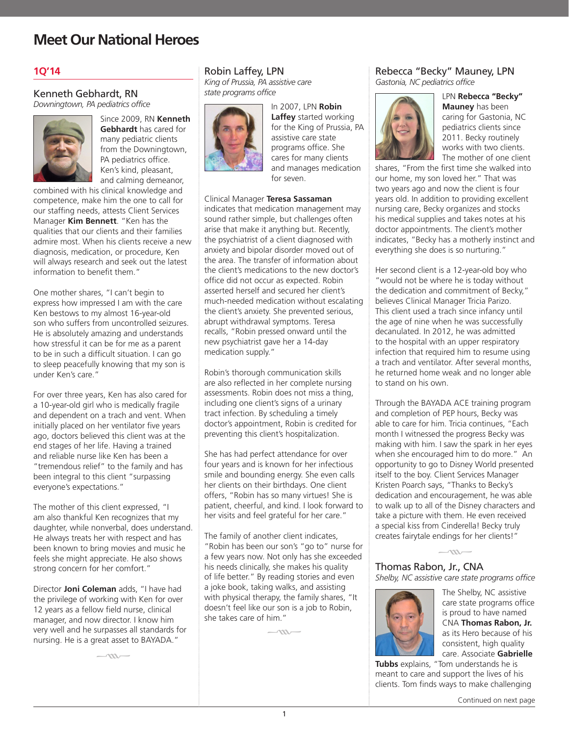### **1Q'14**

#### Kenneth Gebhardt, RN *Downingtown, PA pediatrics office*



Since 2009, RN **Kenneth Gebhardt** has cared for many pediatric clients from the Downingtown, PA pediatrics office. Ken's kind, pleasant, and calming demeanor,

combined with his clinical knowledge and competence, make him the one to call for our staffing needs, attests Client Services Manager **Kim Bennett**. "Ken has the qualities that our clients and their families admire most. When his clients receive a new diagnosis, medication, or procedure, Ken will always research and seek out the latest information to benefit them."

One mother shares, "I can't begin to express how impressed I am with the care Ken bestows to my almost 16-year-old son who suffers from uncontrolled seizures. He is absolutely amazing and understands how stressful it can be for me as a parent to be in such a difficult situation. I can go to sleep peacefully knowing that my son is under Ken's care."

For over three years, Ken has also cared for a 10-year-old girl who is medically fragile and dependent on a trach and vent. When initially placed on her ventilator five years ago, doctors believed this client was at the end stages of her life. Having a trained and reliable nurse like Ken has been a "tremendous relief" to the family and has been integral to this client "surpassing everyone's expectations."

The mother of this client expressed, "I am also thankful Ken recognizes that my daughter, while nonverbal, does understand. He always treats her with respect and has been known to bring movies and music he feels she might appreciate. He also shows strong concern for her comfort."

Director **Joni Coleman** adds, "I have had the privilege of working with Ken for over 12 years as a fellow field nurse, clinical manager, and now director. I know him very well and he surpasses all standards for nursing. He is a great asset to BAYADA."

 $\sim$ 

#### Robin Laffey, LPN

*King of Prussia, PA assistive care state programs office*



In 2007, LPN **Robin Laffey** started working for the King of Prussia, PA assistive care state programs office. She cares for many clients and manages medication for seven.

#### Clinical Manager **Teresa Sassaman**

indicates that medication management may sound rather simple, but challenges often arise that make it anything but. Recently, the psychiatrist of a client diagnosed with anxiety and bipolar disorder moved out of the area. The transfer of information about the client's medications to the new doctor's office did not occur as expected. Robin asserted herself and secured her client's much-needed medication without escalating the client's anxiety. She prevented serious, abrupt withdrawal symptoms. Teresa recalls, "Robin pressed onward until the new psychiatrist gave her a 14-day medication supply."

Robin's thorough communication skills are also reflected in her complete nursing assessments. Robin does not miss a thing, including one client's signs of a urinary tract infection. By scheduling a timely doctor's appointment, Robin is credited for preventing this client's hospitalization.

She has had perfect attendance for over four years and is known for her infectious smile and bounding energy. She even calls her clients on their birthdays. One client offers, "Robin has so many virtues! She is patient, cheerful, and kind. I look forward to her visits and feel grateful for her care."

The family of another client indicates, "Robin has been our son's "go to" nurse for a few years now. Not only has she exceeded his needs clinically, she makes his quality of life better." By reading stories and even a joke book, taking walks, and assisting with physical therapy, the family shares, "It doesn't feel like our son is a job to Robin, she takes care of him."

 $\sim$ 

#### Rebecca "Becky" Mauney, LPN *Gastonia, NC pediatrics office*



LPN **Rebecca "Becky" Mauney** has been caring for Gastonia, NC pediatrics clients since 2011. Becky routinely works with two clients. The mother of one client

shares, "From the first time she walked into our home, my son loved her." That was two years ago and now the client is four years old. In addition to providing excellent nursing care, Becky organizes and stocks his medical supplies and takes notes at his doctor appointments. The client's mother indicates, "Becky has a motherly instinct and everything she does is so nurturing."

Her second client is a 12-year-old boy who "would not be where he is today without the dedication and commitment of Becky," believes Clinical Manager Tricia Parizo. This client used a trach since infancy until the age of nine when he was successfully decanulated. In 2012, he was admitted to the hospital with an upper respiratory infection that required him to resume using a trach and ventilator. After several months, he returned home weak and no longer able to stand on his own.

Through the BAYADA ACE training program and completion of PEP hours, Becky was able to care for him. Tricia continues, "Each month I witnessed the progress Becky was making with him. I saw the spark in her eyes when she encouraged him to do more." An opportunity to go to Disney World presented itself to the boy. Client Services Manager Kristen Poarch says, "Thanks to Becky's dedication and encouragement, he was able to walk up to all of the Disney characters and take a picture with them. He even received a special kiss from Cinderella! Becky truly creates fairytale endings for her clients!"

 $-\infty$ 

Thomas Rabon, Jr., CNA *Shelby, NC assistive care state programs office*



The Shelby, NC assistive care state programs office is proud to have named CNA **Thomas Rabon, Jr.** as its Hero because of his consistent, high quality care. Associate **Gabrielle** 

**Tubbs** explains, "Tom understands he is meant to care and support the lives of his clients. Tom finds ways to make challenging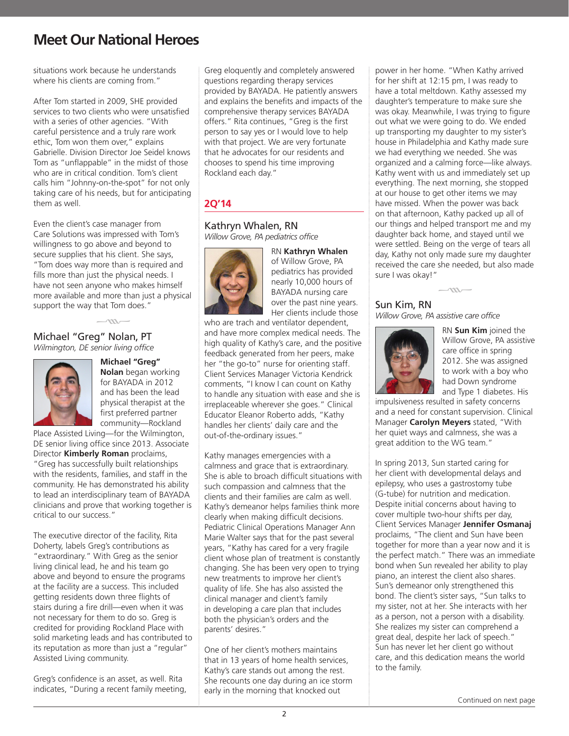situations work because he understands where his clients are coming from."

After Tom started in 2009, SHE provided services to two clients who were unsatisfied with a series of other agencies. "With careful persistence and a truly rare work ethic, Tom won them over," explains Gabrielle. Division Director Joe Seidel knows Tom as "unflappable" in the midst of those who are in critical condition. Tom's client calls him "Johnny-on-the-spot" for not only taking care of his needs, but for anticipating them as well.

Even the client's case manager from Care Solutions was impressed with Tom's willingness to go above and beyond to secure supplies that his client. She says, "Tom does way more than is required and fills more than just the physical needs. I have not seen anyone who makes himself more available and more than just a physical support the way that Tom does."

 $\rightarrow$ 

### Michael "Greg" Nolan, PT *Wilmington, DE senior living office*



**Michael "Greg" Nolan** began working for BAYADA in 2012 and has been the lead physical therapist at the first preferred partner

community—Rockland Place Assisted Living—for the Wilmington, DE senior living office since 2013. Associate Director **Kimberly Roman** proclaims, "Greg has successfully built relationships with the residents, families, and staff in the community. He has demonstrated his ability to lead an interdisciplinary team of BAYADA clinicians and prove that working together is critical to our success."

The executive director of the facility, Rita Doherty, labels Greg's contributions as "extraordinary." With Greg as the senior living clinical lead, he and his team go above and beyond to ensure the programs at the facility are a success. This included getting residents down three flights of stairs during a fire drill—even when it was not necessary for them to do so. Greg is credited for providing Rockland Place with solid marketing leads and has contributed to its reputation as more than just a "regular" Assisted Living community.

Greg's confidence is an asset, as well. Rita indicates, "During a recent family meeting,

Greg eloquently and completely answered questions regarding therapy services provided by BAYADA. He patiently answers and explains the benefits and impacts of the comprehensive therapy services BAYADA offers." Rita continues, "Greg is the first person to say yes or I would love to help with that project. We are very fortunate that he advocates for our residents and chooses to spend his time improving Rockland each day."

## **2Q'14**

### Kathryn Whalen, RN

*Willow Grove, PA pediatrics office*



RN **Kathryn Whalen** of Willow Grove, PA pediatrics has provided nearly 10,000 hours of BAYADA nursing care over the past nine years. Her clients include those

who are trach and ventilator dependent, and have more complex medical needs. The high quality of Kathy's care, and the positive feedback generated from her peers, make her "the go-to" nurse for orienting staff. Client Services Manager Victoria Kendrick comments, "I know I can count on Kathy to handle any situation with ease and she is irreplaceable wherever she goes." Clinical Educator Eleanor Roberto adds, "Kathy handles her clients' daily care and the out-of-the-ordinary issues."

Kathy manages emergencies with a calmness and grace that is extraordinary. She is able to broach difficult situations with such compassion and calmness that the clients and their families are calm as well. Kathy's demeanor helps families think more clearly when making difficult decisions. Pediatric Clinical Operations Manager Ann Marie Walter says that for the past several years, "Kathy has cared for a very fragile client whose plan of treatment is constantly changing. She has been very open to trying new treatments to improve her client's quality of life. She has also assisted the clinical manager and client's family in developing a care plan that includes both the physician's orders and the parents' desires."

One of her client's mothers maintains that in 13 years of home health services, Kathy's care stands out among the rest. She recounts one day during an ice storm early in the morning that knocked out

power in her home. "When Kathy arrived for her shift at 12:15 pm, I was ready to have a total meltdown. Kathy assessed my daughter's temperature to make sure she was okay. Meanwhile, I was trying to figure out what we were going to do. We ended up transporting my daughter to my sister's house in Philadelphia and Kathy made sure we had everything we needed. She was organized and a calming force—like always. Kathy went with us and immediately set up everything. The next morning, she stopped at our house to get other items we may have missed. When the power was back on that afternoon, Kathy packed up all of our things and helped transport me and my daughter back home, and stayed until we were settled. Being on the verge of tears all day, Kathy not only made sure my daughter received the care she needed, but also made sure I was okay!"

### Sun Kim, RN

*Willow Grove, PA assistive care office*

 $\rightarrow$ 



RN **Sun Kim** joined the Willow Grove, PA assistive care office in spring 2012. She was assigned to work with a boy who had Down syndrome and Type 1 diabetes. His

impulsiveness resulted in safety concerns and a need for constant supervision. Clinical Manager **Carolyn Meyers** stated, "With her quiet ways and calmness, she was a great addition to the WG team."

In spring 2013, Sun started caring for her client with developmental delays and epilepsy, who uses a gastrostomy tube (G-tube) for nutrition and medication. Despite initial concerns about having to cover multiple two-hour shifts per day, Client Services Manager **Jennifer Osmanaj** proclaims, "The client and Sun have been together for more than a year now and it is the perfect match." There was an immediate bond when Sun revealed her ability to play piano, an interest the client also shares. Sun's demeanor only strengthened this bond. The client's sister says, "Sun talks to my sister, not at her. She interacts with her as a person, not a person with a disability. She realizes my sister can comprehend a great deal, despite her lack of speech." Sun has never let her client go without care, and this dedication means the world to the family.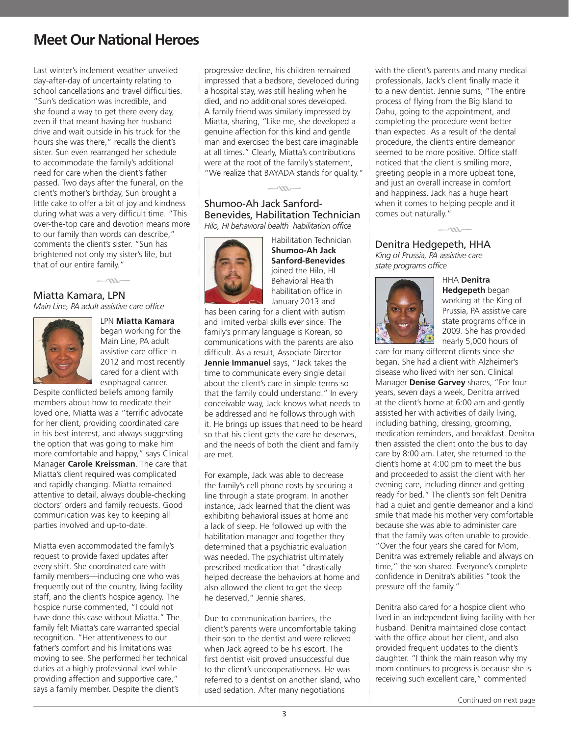Last winter's inclement weather unveiled day-after-day of uncertainty relating to school cancellations and travel difficulties. "Sun's dedication was incredible, and she found a way to get there every day, even if that meant having her husband drive and wait outside in his truck for the hours she was there," recalls the client's sister. Sun even rearranged her schedule to accommodate the family's additional need for care when the client's father passed. Two days after the funeral, on the client's mother's birthday, Sun brought a little cake to offer a bit of joy and kindness during what was a very difficult time. "This over-the-top care and devotion means more to our family than words can describe," comments the client's sister. "Sun has brightened not only my sister's life, but that of our entire family."

Miatta Kamara, LPN

*Main Line, PA adult assistive care office*

 $\overline{\phantom{0}}$ 



LPN **Miatta Kamara**  began working for the Main Line, PA adult assistive care office in 2012 and most recently cared for a client with esophageal cancer.

Despite conflicted beliefs among family members about how to medicate their loved one, Miatta was a "terrific advocate for her client, providing coordinated care in his best interest, and always suggesting the option that was going to make him more comfortable and happy," says Clinical Manager **Carole Kreissman**. The care that Miatta's client required was complicated and rapidly changing. Miatta remained attentive to detail, always double-checking doctors' orders and family requests. Good communication was key to keeping all parties involved and up-to-date.

Miatta even accommodated the family's request to provide faxed updates after every shift. She coordinated care with family members—including one who was frequently out of the country, living facility staff, and the client's hospice agency. The hospice nurse commented, "I could not have done this case without Miatta." The family felt Miatta's care warranted special recognition. "Her attentiveness to our father's comfort and his limitations was moving to see. She performed her technical duties at a highly professional level while providing affection and supportive care," says a family member. Despite the client's

progressive decline, his children remained impressed that a bedsore, developed during a hospital stay, was still healing when he died, and no additional sores developed. A family friend was similarly impressed by Miatta, sharing, "Like me, she developed a genuine affection for this kind and gentle man and exercised the best care imaginable at all times." Clearly, Miatta's contributions were at the root of the family's statement, "We realize that BAYADA stands for quality."

### Shumoo-Ah Jack Sanford- $-\frac{m}{n}$ Benevides, Habilitation Technician

*Hilo, HI behavioral bealth habilitation office*



Habilitation Technician **Shumoo-Ah Jack Sanford-Benevides** joined the Hilo, HI Behavioral Health habilitation office in January 2013 and

has been caring for a client with autism and limited verbal skills ever since. The family's primary language is Korean, so communications with the parents are also difficult. As a result, Associate Director **Jennie Immanuel** says, "Jack takes the time to communicate every single detail about the client's care in simple terms so that the family could understand." In every conceivable way, Jack knows what needs to be addressed and he follows through with it. He brings up issues that need to be heard so that his client gets the care he deserves, and the needs of both the client and family are met.

For example, Jack was able to decrease the family's cell phone costs by securing a line through a state program. In another instance, Jack learned that the client was exhibiting behavioral issues at home and a lack of sleep. He followed up with the habilitation manager and together they determined that a psychiatric evaluation was needed. The psychiatrist ultimately prescribed medication that "drastically helped decrease the behaviors at home and also allowed the client to get the sleep he deserved," Jennie shares.

Due to communication barriers, the client's parents were uncomfortable taking their son to the dentist and were relieved when Jack agreed to be his escort. The first dentist visit proved unsuccessful due to the client's uncooperativeness. He was referred to a dentist on another island, who used sedation. After many negotiations

with the client's parents and many medical professionals, Jack's client finally made it to a new dentist. Jennie sums, "The entire process of flying from the Big Island to Oahu, going to the appointment, and completing the procedure went better than expected. As a result of the dental procedure, the client's entire demeanor seemed to be more positive. Office staff noticed that the client is smiling more, greeting people in a more upbeat tone, and just an overall increase in comfort and happiness. Jack has a huge heart when it comes to helping people and it comes out naturally."

## Denitra Hedgepeth, HHA  $\frac{1}{\sqrt{m}}$

*King of Prussia, PA assistive care state programs office*



HHA **Denitra Hedgepeth** began working at the King of Prussia, PA assistive care state programs office in 2009. She has provided nearly 5,000 hours of

care for many different clients since she began. She had a client with Alzheimer's disease who lived with her son. Clinical Manager **Denise Garvey** shares, "For four years, seven days a week, Denitra arrived at the client's home at 6:00 am and gently assisted her with activities of daily living, including bathing, dressing, grooming, medication reminders, and breakfast. Denitra then assisted the client onto the bus to day care by 8:00 am. Later, she returned to the client's home at 4:00 pm to meet the bus and proceeded to assist the client with her evening care, including dinner and getting ready for bed." The client's son felt Denitra had a quiet and gentle demeanor and a kind smile that made his mother very comfortable because she was able to administer care that the family was often unable to provide. "Over the four years she cared for Mom, Denitra was extremely reliable and always on time," the son shared. Everyone's complete confidence in Denitra's abilities "took the pressure off the family."

Denitra also cared for a hospice client who lived in an independent living facility with her husband. Denitra maintained close contact with the office about her client, and also provided frequent updates to the client's daughter. "I think the main reason why my mom continues to progress is because she is receiving such excellent care," commented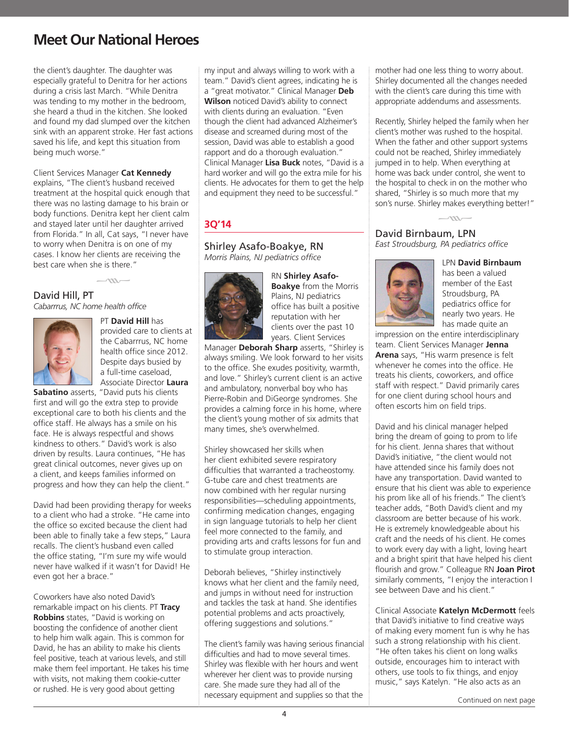the client's daughter. The daughter was especially grateful to Denitra for her actions during a crisis last March. "While Denitra was tending to my mother in the bedroom, she heard a thud in the kitchen. She looked and found my dad slumped over the kitchen sink with an apparent stroke. Her fast actions saved his life, and kept this situation from being much worse."

Client Services Manager **Cat Kennedy** explains, "The client's husband received treatment at the hospital quick enough that there was no lasting damage to his brain or body functions. Denitra kept her client calm and stayed later until her daughter arrived from Florida." In all, Cat says, "I never have to worry when Denitra is on one of my cases. I know her clients are receiving the best care when she is there."

 $\sim$ 





PT **David Hill** has provided care to clients at the Cabarrrus, NC home health office since 2012. Despite days busied by a full-time caseload, Associate Director **Laura** 

**Sabatino** asserts, "David puts his clients first and will go the extra step to provide exceptional care to both his clients and the office staff. He always has a smile on his face. He is always respectful and shows kindness to others." David's work is also driven by results. Laura continues, "He has great clinical outcomes, never gives up on a client, and keeps families informed on progress and how they can help the client."

David had been providing therapy for weeks to a client who had a stroke. "He came into the office so excited because the client had been able to finally take a few steps," Laura recalls. The client's husband even called the office stating, "I'm sure my wife would never have walked if it wasn't for David! He even got her a brace."

Coworkers have also noted David's remarkable impact on his clients. PT **Tracy Robbins** states, "David is working on boosting the confidence of another client to help him walk again. This is common for David, he has an ability to make his clients feel positive, teach at various levels, and still make them feel important. He takes his time with visits, not making them cookie-cutter or rushed. He is very good about getting

my input and always willing to work with a team." David's client agrees, indicating he is a "great motivator." Clinical Manager **Deb Wilson** noticed David's ability to connect with clients during an evaluation. "Even though the client had advanced Alzheimer's disease and screamed during most of the session, David was able to establish a good rapport and do a thorough evaluation." Clinical Manager **Lisa Buck** notes, "David is a hard worker and will go the extra mile for his clients. He advocates for them to get the help and equipment they need to be successful."

### **3Q'14**

Shirley Asafo-Boakye, RN *Morris Plains, NJ pediatrics office*



RN **Shirley Asafo-Boakye** from the Morris Plains, NJ pediatrics office has built a positive reputation with her clients over the past 10 years. Client Services

Manager **Deborah Sharp** asserts, "Shirley is always smiling. We look forward to her visits to the office. She exudes positivity, warmth, and love." Shirley's current client is an active and ambulatory, nonverbal boy who has Pierre-Robin and DiGeorge syndromes. She provides a calming force in his home, where the client's young mother of six admits that many times, she's overwhelmed.

Shirley showcased her skills when her client exhibited severe respiratory difficulties that warranted a tracheostomy. G-tube care and chest treatments are now combined with her regular nursing responsibilities—scheduling appointments, confirming medication changes, engaging in sign language tutorials to help her client feel more connected to the family, and providing arts and crafts lessons for fun and to stimulate group interaction.

Deborah believes, "Shirley instinctively knows what her client and the family need, and jumps in without need for instruction and tackles the task at hand. She identifies potential problems and acts proactively, offering suggestions and solutions."

The client's family was having serious financial difficulties and had to move several times. Shirley was flexible with her hours and went wherever her client was to provide nursing care. She made sure they had all of the necessary equipment and supplies so that the

mother had one less thing to worry about. Shirley documented all the changes needed with the client's care during this time with appropriate addendums and assessments.

Recently, Shirley helped the family when her client's mother was rushed to the hospital. When the father and other support systems could not be reached, Shirley immediately jumped in to help. When everything at home was back under control, she went to the hospital to check in on the mother who shared, "Shirley is so much more that my son's nurse. Shirley makes everything better!"

 $\sim$ 

David Birnbaum, LPN *East Stroudsburg, PA pediatrics office*



LPN **David Birnbaum** has been a valued member of the East Stroudsburg, PA pediatrics office for nearly two years. He has made quite an

impression on the entire interdisciplinary team. Client Services Manager **Jenna Arena** says, "His warm presence is felt whenever he comes into the office. He treats his clients, coworkers, and office staff with respect." David primarily cares for one client during school hours and often escorts him on field trips.

David and his clinical manager helped bring the dream of going to prom to life for his client. Jenna shares that without David's initiative, "the client would not have attended since his family does not have any transportation. David wanted to ensure that his client was able to experience his prom like all of his friends." The client's teacher adds, "Both David's client and my classroom are better because of his work. He is extremely knowledgeable about his craft and the needs of his client. He comes to work every day with a light, loving heart and a bright spirit that have helped his client flourish and grow." Colleague RN **Joan Pirot** similarly comments, "I enjoy the interaction I see between Dave and his client."

Clinical Associate **Katelyn McDermott** feels that David's initiative to find creative ways of making every moment fun is why he has such a strong relationship with his client. "He often takes his client on long walks outside, encourages him to interact with others, use tools to fix things, and enjoy music," says Katelyn. "He also acts as an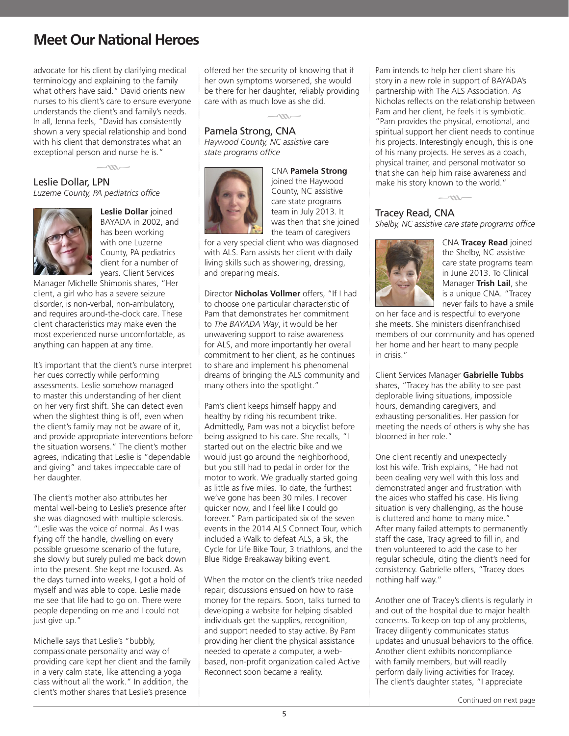advocate for his client by clarifying medical terminology and explaining to the family what others have said." David orients new nurses to his client's care to ensure everyone understands the client's and family's needs. In all, Jenna feels, "David has consistently shown a very special relationship and bond with his client that demonstrates what an exceptional person and nurse he is."

 $-\frac{m}{m}$ 

### Leslie Dollar, LPN

*Luzerne County, PA pediatrics office*



**Leslie Dollar** joined BAYADA in 2002, and has been working with one Luzerne County, PA pediatrics client for a number of years. Client Services

Manager Michelle Shimonis shares, "Her client, a girl who has a severe seizure disorder, is non-verbal, non-ambulatory, and requires around-the-clock care. These client characteristics may make even the most experienced nurse uncomfortable, as anything can happen at any time.

It's important that the client's nurse interpret her cues correctly while performing assessments. Leslie somehow managed to master this understanding of her client on her very first shift. She can detect even when the slightest thing is off, even when the client's family may not be aware of it, and provide appropriate interventions before the situation worsens." The client's mother agrees, indicating that Leslie is "dependable and giving" and takes impeccable care of her daughter.

The client's mother also attributes her mental well-being to Leslie's presence after she was diagnosed with multiple sclerosis. "Leslie was the voice of normal. As I was flying off the handle, dwelling on every possible gruesome scenario of the future, she slowly but surely pulled me back down into the present. She kept me focused. As the days turned into weeks, I got a hold of myself and was able to cope. Leslie made me see that life had to go on. There were people depending on me and I could not just give up."

Michelle says that Leslie's "bubbly, compassionate personality and way of providing care kept her client and the family in a very calm state, like attending a yoga class without all the work." In addition, the client's mother shares that Leslie's presence

offered her the security of knowing that if her own symptoms worsened, she would be there for her daughter, reliably providing care with as much love as she did.

## Pamela Strong, CNA  $-\infty$

*Haywood County, NC assistive care state programs office*



CNA **Pamela Strong** joined the Haywood County, NC assistive care state programs team in July 2013. It was then that she joined the team of caregivers

for a very special client who was diagnosed with ALS. Pam assists her client with daily living skills such as showering, dressing, and preparing meals.

Director **Nicholas Vollmer** offers, "If I had to choose one particular characteristic of Pam that demonstrates her commitment to *The BAYADA Way*, it would be her unwavering support to raise awareness for ALS, and more importantly her overall commitment to her client, as he continues to share and implement his phenomenal dreams of bringing the ALS community and many others into the spotlight."

Pam's client keeps himself happy and healthy by riding his recumbent trike. Admittedly, Pam was not a bicyclist before being assigned to his care. She recalls, "I started out on the electric bike and we would just go around the neighborhood, but you still had to pedal in order for the motor to work. We gradually started going as little as five miles. To date, the furthest we've gone has been 30 miles. I recover quicker now, and I feel like I could go forever." Pam participated six of the seven events in the 2014 ALS Connect Tour, which included a Walk to defeat ALS, a 5k, the Cycle for Life Bike Tour, 3 triathlons, and the Blue Ridge Breakaway biking event.

When the motor on the client's trike needed repair, discussions ensued on how to raise money for the repairs. Soon, talks turned to developing a website for helping disabled individuals get the supplies, recognition, and support needed to stay active. By Pam providing her client the physical assistance needed to operate a computer, a webbased, non-profit organization called Active Reconnect soon became a reality.

Pam intends to help her client share his story in a new role in support of BAYADA's partnership with The ALS Association. As Nicholas reflects on the relationship between Pam and her client, he feels it is symbiotic. "Pam provides the physical, emotional, and spiritual support her client needs to continue his projects. Interestingly enough, this is one of his many projects. He serves as a coach, physical trainer, and personal motivator so that she can help him raise awareness and make his story known to the world."

### Tracey Read, CNA *Shelby, NC assistive care state programs office*

 $\sim$ 



CNA **Tracey Read** joined the Shelby, NC assistive care state programs team in June 2013. To Clinical Manager **Trish Lail**, she is a unique CNA. "Tracey never fails to have a smile

on her face and is respectful to everyone she meets. She ministers disenfranchised members of our community and has opened her home and her heart to many people in crisis."

Client Services Manager **Gabrielle Tubbs** shares, "Tracey has the ability to see past deplorable living situations, impossible hours, demanding caregivers, and exhausting personalities. Her passion for meeting the needs of others is why she has bloomed in her role."

One client recently and unexpectedly lost his wife. Trish explains, "He had not been dealing very well with this loss and demonstrated anger and frustration with the aides who staffed his case. His living situation is very challenging, as the house is cluttered and home to many mice." After many failed attempts to permanently staff the case, Tracy agreed to fill in, and then volunteered to add the case to her regular schedule, citing the client's need for consistency. Gabrielle offers, "Tracey does nothing half way."

Another one of Tracey's clients is regularly in and out of the hospital due to major health concerns. To keep on top of any problems, Tracey diligently communicates status updates and unusual behaviors to the office. Another client exhibits noncompliance with family members, but will readily perform daily living activities for Tracey. The client's daughter states, "I appreciate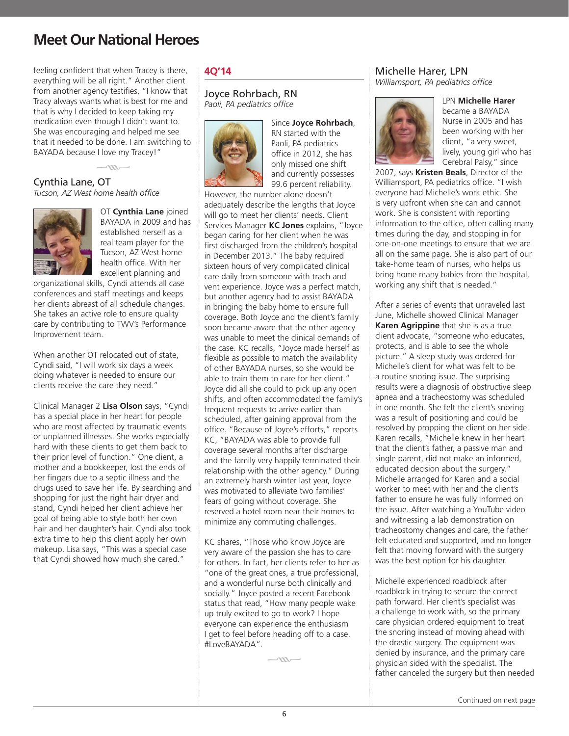feeling confident that when Tracey is there, everything will be all right." Another client from another agency testifies, "I know that Tracy always wants what is best for me and that is why I decided to keep taking my medication even though I didn't want to. She was encouraging and helped me see that it needed to be done. I am switching to BAYADA because I love my Tracey!"

Cynthia Lane, OT  $\frac{1}{1}$ 

*Tucson, AZ West home health office*



OT **Cynthia Lane** joined BAYADA in 2009 and has established herself as a real team player for the Tucson, AZ West home health office. With her excellent planning and

organizational skills, Cyndi attends all case conferences and staff meetings and keeps her clients abreast of all schedule changes. She takes an active role to ensure quality care by contributing to TWV's Performance Improvement team.

When another OT relocated out of state, Cyndi said, "I will work six days a week doing whatever is needed to ensure our clients receive the care they need."

Clinical Manager 2 **Lisa Olson** says, "Cyndi has a special place in her heart for people who are most affected by traumatic events or unplanned illnesses. She works especially hard with these clients to get them back to their prior level of function." One client, a mother and a bookkeeper, lost the ends of her fingers due to a septic illness and the drugs used to save her life. By searching and shopping for just the right hair dryer and stand, Cyndi helped her client achieve her goal of being able to style both her own hair and her daughter's hair. Cyndi also took extra time to help this client apply her own makeup. Lisa says, "This was a special case that Cyndi showed how much she cared."

#### **4Q'14**

#### Joyce Rohrbach, RN *Paoli, PA pediatrics office*



Since **Joyce Rohrbach**, RN started with the Paoli, PA pediatrics office in 2012, she has only missed one shift and currently possesses 99.6 percent reliability.

However, the number alone doesn't adequately describe the lengths that Joyce will go to meet her clients' needs. Client Services Manager **KC Jones** explains, "Joyce began caring for her client when he was first discharged from the children's hospital in December 2013." The baby required sixteen hours of very complicated clinical care daily from someone with trach and vent experience. Joyce was a perfect match, but another agency had to assist BAYADA in bringing the baby home to ensure full coverage. Both Joyce and the client's family soon became aware that the other agency was unable to meet the clinical demands of the case. KC recalls, "Joyce made herself as flexible as possible to match the availability of other BAYADA nurses, so she would be able to train them to care for her client." Joyce did all she could to pick up any open shifts, and often accommodated the family's frequent requests to arrive earlier than scheduled, after gaining approval from the office. "Because of Joyce's efforts," reports KC, "BAYADA was able to provide full coverage several months after discharge and the family very happily terminated their relationship with the other agency." During an extremely harsh winter last year, Joyce was motivated to alleviate two families' fears of going without coverage. She reserved a hotel room near their homes to minimize any commuting challenges.

KC shares, "Those who know Joyce are very aware of the passion she has to care for others. In fact, her clients refer to her as "one of the great ones, a true professional, and a wonderful nurse both clinically and socially." Joyce posted a recent Facebook status that read, "How many people wake up truly excited to go to work? I hope everyone can experience the enthusiasm I get to feel before heading off to a case. #LoveBAYADA".

 $-m-$ 

### Michelle Harer, LPN

*Williamsport, PA pediatrics office*



LPN **Michelle Harer** became a BAYADA Nurse in 2005 and has been working with her client, "a very sweet, lively, young girl who has Cerebral Palsy," since

2007, says **Kristen Beals**, Director of the Williamsport, PA pediatrics office. "I wish everyone had Michelle's work ethic. She is very upfront when she can and cannot work. She is consistent with reporting information to the office, often calling many times during the day, and stopping in for one-on-one meetings to ensure that we are all on the same page. She is also part of our take-home team of nurses, who helps us bring home many babies from the hospital, working any shift that is needed."

After a series of events that unraveled last June, Michelle showed Clinical Manager **Karen Agrippine** that she is as a true client advocate, "someone who educates, protects, and is able to see the whole picture." A sleep study was ordered for Michelle's client for what was felt to be a routine snoring issue. The surprising results were a diagnosis of obstructive sleep apnea and a tracheostomy was scheduled in one month. She felt the client's snoring was a result of positioning and could be resolved by propping the client on her side. Karen recalls, "Michelle knew in her heart that the client's father, a passive man and single parent, did not make an informed, educated decision about the surgery." Michelle arranged for Karen and a social worker to meet with her and the client's father to ensure he was fully informed on the issue. After watching a YouTube video and witnessing a lab demonstration on tracheostomy changes and care, the father felt educated and supported, and no longer felt that moving forward with the surgery was the best option for his daughter.

Michelle experienced roadblock after roadblock in trying to secure the correct path forward. Her client's specialist was a challenge to work with, so the primary care physician ordered equipment to treat the snoring instead of moving ahead with the drastic surgery. The equipment was denied by insurance, and the primary care physician sided with the specialist. The father canceled the surgery but then needed